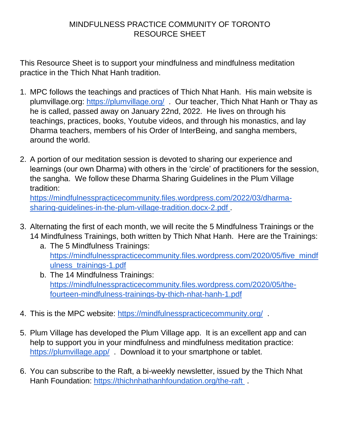## MINDFULNESS PRACTICE COMMUNITY OF TORONTO RESOURCE SHEET

This Resource Sheet is to support your mindfulness and mindfulness meditation practice in the Thich Nhat Hanh tradition.

- 1. MPC follows the teachings and practices of Thich Nhat Hanh. His main website is plumvillage.org:<https://plumvillage.org/>. Our teacher, Thich Nhat Hanh or Thay as he is called, passed away on January 22nd, 2022. He lives on through his teachings, practices, books, Youtube videos, and through his monastics, and lay Dharma teachers, members of his Order of InterBeing, and sangha members, around the world.
- 2. A portion of our meditation session is devoted to sharing our experience and learnings (our own Dharma) with others in the 'circle' of practitioners for the session, the sangha. We follow these Dharma Sharing Guidelines in the Plum Village tradition:

[https://mindfulnesspracticecommunity.files.wordpress.com/2022/03/dharma](https://mindfulnesspracticecommunity.files.wordpress.com/2022/03/dharma-sharing-guidelines-in-the-plum-village-tradition.docx-2.pdf)[sharing-guidelines-in-the-plum-village-tradition.docx-2.pdf .](https://mindfulnesspracticecommunity.files.wordpress.com/2022/03/dharma-sharing-guidelines-in-the-plum-village-tradition.docx-2.pdf)

- 3. Alternating the first of each month, we will recite the 5 Mindfulness Trainings or the 14 Mindfulness Trainings, both written by Thich Nhat Hanh. Here are the Trainings:
	- a. The 5 Mindfulness Trainings: [https://mindfulnesspracticecommunity.files.wordpress.com/2020/05/five\\_mindf](https://mindfulnesspracticecommunity.files.wordpress.com/2020/05/five_mindfulness_trainings-1.pdf) [ulness\\_trainings-1.pdf](https://mindfulnesspracticecommunity.files.wordpress.com/2020/05/five_mindfulness_trainings-1.pdf)
	- b. The 14 Mindfulness Trainings: [https://mindfulnesspracticecommunity.files.wordpress.com/2020/05/the](https://mindfulnesspracticecommunity.files.wordpress.com/2020/05/the-fourteen-mindfulness-trainings-by-thich-nhat-hanh-1.pdf)[fourteen-mindfulness-trainings-by-thich-nhat-hanh-1.pdf](https://mindfulnesspracticecommunity.files.wordpress.com/2020/05/the-fourteen-mindfulness-trainings-by-thich-nhat-hanh-1.pdf)
- 4. This is the MPC website:<https://mindfulnesspracticecommunity.org/>.
- 5. Plum Village has developed the Plum Village app. It is an excellent app and can help to support you in your mindfulness and mindfulness meditation practice: <https://plumvillage.app/>. Download it to your smartphone or tablet.
- 6. You can subscribe to the Raft, a bi-weekly newsletter, issued by the Thich Nhat Hanh Foundation: https://thichnhathanhfoundation.org/the-raft.